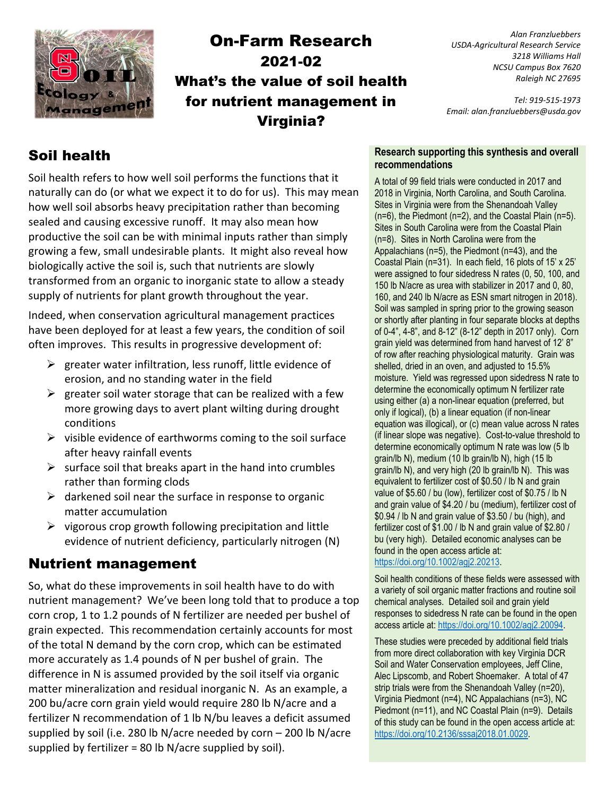

# On-Farm Research 2021-02 What's the value of soil health for nutrient management in Virginia?

*Alan Franzluebbers USDA-Agricultural Research Service 3218 Williams Hall NCSU Campus Box 7620 Raleigh NC 27695*

*Tel: 919-515-1973 Email: alan.franzluebbers@usda.gov*

# Soil health

Soil health refers to how well soil performs the functions that it naturally can do (or what we expect it to do for us). This may mean how well soil absorbs heavy precipitation rather than becoming sealed and causing excessive runoff. It may also mean how productive the soil can be with minimal inputs rather than simply growing a few, small undesirable plants. It might also reveal how biologically active the soil is, such that nutrients are slowly transformed from an organic to inorganic state to allow a steady supply of nutrients for plant growth throughout the year.

Indeed, when conservation agricultural management practices have been deployed for at least a few years, the condition of soil often improves. This results in progressive development of:

- $\triangleright$  greater water infiltration, less runoff, little evidence of erosion, and no standing water in the field
- $\triangleright$  greater soil water storage that can be realized with a few more growing days to avert plant wilting during drought conditions
- $\triangleright$  visible evidence of earthworms coming to the soil surface after heavy rainfall events
- $\triangleright$  surface soil that breaks apart in the hand into crumbles rather than forming clods
- $\triangleright$  darkened soil near the surface in response to organic matter accumulation
- $\triangleright$  vigorous crop growth following precipitation and little evidence of nutrient deficiency, particularly nitrogen (N)

## Nutrient management

So, what do these improvements in soil health have to do with nutrient management? We've been long told that to produce a top corn crop, 1 to 1.2 pounds of N fertilizer are needed per bushel of grain expected. This recommendation certainly accounts for most of the total N demand by the corn crop, which can be estimated more accurately as 1.4 pounds of N per bushel of grain. The difference in N is assumed provided by the soil itself via organic matter mineralization and residual inorganic N. As an example, a 200 bu/acre corn grain yield would require 280 lb N/acre and a fertilizer N recommendation of 1 lb N/bu leaves a deficit assumed supplied by soil (i.e. 280 lb N/acre needed by corn – 200 lb N/acre supplied by fertilizer = 80 lb  $N/$ acre supplied by soil).

#### **Research supporting this synthesis and overall recommendations**

A total of 99 field trials were conducted in 2017 and 2018 in Virginia, North Carolina, and South Carolina. Sites in Virginia were from the Shenandoah Valley (n=6), the Piedmont (n=2), and the Coastal Plain (n=5). Sites in South Carolina were from the Coastal Plain (n=8). Sites in North Carolina were from the Appalachians (n=5), the Piedmont (n=43), and the Coastal Plain (n=31). In each field, 16 plots of 15' x 25' were assigned to four sidedress N rates (0, 50, 100, and 150 lb N/acre as urea with stabilizer in 2017 and 0, 80, 160, and 240 lb N/acre as ESN smart nitrogen in 2018). Soil was sampled in spring prior to the growing season or shortly after planting in four separate blocks at depths of 0-4", 4-8", and 8-12" (8-12" depth in 2017 only). Corn grain yield was determined from hand harvest of 12' 8" of row after reaching physiological maturity. Grain was shelled, dried in an oven, and adjusted to 15.5% moisture. Yield was regressed upon sidedress N rate to determine the economically optimum N fertilizer rate using either (a) a non-linear equation (preferred, but only if logical), (b) a linear equation (if non-linear equation was illogical), or (c) mean value across N rates (if linear slope was negative). Cost-to-value threshold to determine economically optimum N rate was low (5 lb grain/lb N), medium (10 lb grain/lb N), high (15 lb grain/lb N), and very high (20 lb grain/lb N). This was equivalent to fertilizer cost of \$0.50 / lb N and grain value of \$5.60 / bu (low), fertilizer cost of \$0.75 / lb N and grain value of \$4.20 / bu (medium), fertilizer cost of \$0.94 / lb N and grain value of \$3.50 / bu (high), and fertilizer cost of \$1.00 / lb N and grain value of \$2.80 / bu (very high). Detailed economic analyses can be found in the open access article at: [https://doi.org/10.1002/agj2.20213.](https://doi.org/10.1002/agj2.20213) 

Soil health conditions of these fields were assessed with a variety of soil organic matter fractions and routine soil chemical analyses. Detailed soil and grain yield responses to sidedress N rate can be found in the open access article at[: https://doi.org/10.1002/agj2.20094.](https://doi.org/10.1002/agj2.20094)

These studies were preceded by additional field trials from more direct collaboration with key Virginia DCR Soil and Water Conservation employees, Jeff Cline, Alec Lipscomb, and Robert Shoemaker. A total of 47 strip trials were from the Shenandoah Valley (n=20), Virginia Piedmont (n=4), NC Appalachians (n=3), NC Piedmont (n=11), and NC Coastal Plain (n=9). Details of this study can be found in the open access article at: [https://doi.org/10.2136/sssaj2018.01.0029.](https://doi.org/10.2136/sssaj2018.01.0029)